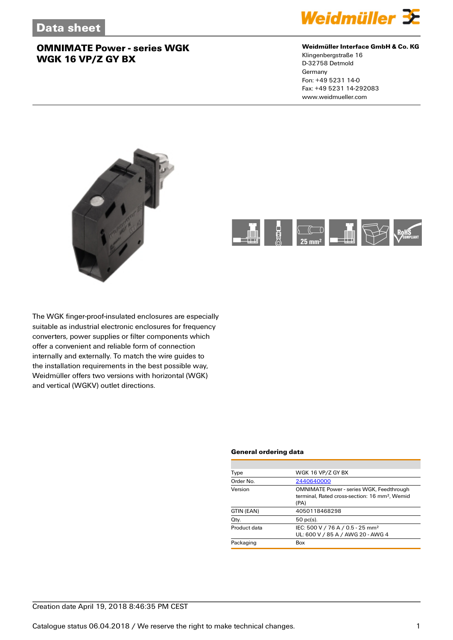

#### **Weidmüller Interface GmbH & Co. KG**

Klingenbergstraße 16 D-32758 Detmold Germany Fon: +49 5231 14-0 Fax: +49 5231 14-292083 www.weidmueller.com





The WGK finger-proof-insulated enclosures are especially suitable as industrial electronic enclosures for frequency converters, power supplies or filter components which offer a convenient and reliable form of connection internally and externally. To match the wire guides to the installation requirements in the best possible way, Weidmüller offers two versions with horizontal (WGK) and vertical (WGKV) outlet directions.

#### **General ordering data**

| WGK 16 VP/Z GY BX                                                                                                    |  |
|----------------------------------------------------------------------------------------------------------------------|--|
| 2440640000                                                                                                           |  |
| <b>OMNIMATE Power - series WGK, Feedthrough</b><br>terminal. Rated cross-section: 16 mm <sup>2</sup> . Wemid<br>(PA) |  |
| 4050118468298                                                                                                        |  |
| $50$ pc(s).                                                                                                          |  |
| IEC: 500 V / 76 A / 0.5 - 25 mm <sup>2</sup><br>UL: 600 V / 85 A / AWG 20 - AWG 4                                    |  |
| Box                                                                                                                  |  |
|                                                                                                                      |  |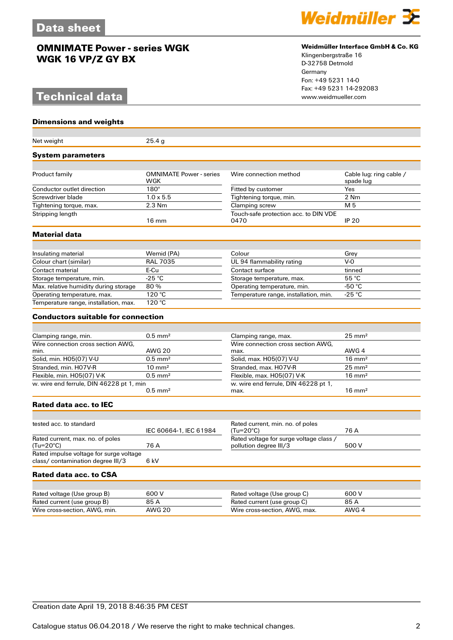## **Technical data**

**Dimensions and weights**



#### **Weidmüller Interface GmbH & Co. KG**

Klingenbergstraße 16 D-32758 Detmold Germany Fon: +49 5231 14-0 Fax: +49 5231 14-292083

| Net weight                                                                   | 25.4 <sub>g</sub>                            |                                                                   |                                      |  |
|------------------------------------------------------------------------------|----------------------------------------------|-------------------------------------------------------------------|--------------------------------------|--|
| <b>System parameters</b>                                                     |                                              |                                                                   |                                      |  |
|                                                                              |                                              |                                                                   |                                      |  |
| Product family                                                               | <b>OMNIMATE Power - series</b><br><b>WGK</b> | Wire connection method                                            | Cable lug: ring cable /<br>spade lug |  |
| Conductor outlet direction                                                   | $180^\circ$                                  | Fitted by customer                                                | Yes                                  |  |
| Screwdriver blade                                                            | $1.0 \times 5.5$                             | Tightening torque, min.                                           | 2 Nm                                 |  |
| Tightening torque, max.                                                      | $2.3$ Nm                                     | Clamping screw                                                    | M 5                                  |  |
| Stripping length                                                             | $16 \text{ mm}$                              | Touch-safe protection acc. to DIN VDE<br>0470                     | <b>IP 20</b>                         |  |
| Material data                                                                |                                              |                                                                   |                                      |  |
|                                                                              |                                              |                                                                   |                                      |  |
| Insulating material                                                          | Wemid (PA)                                   | Colour                                                            | Grey                                 |  |
| Colour chart (similar)                                                       | <b>RAL 7035</b>                              | UL 94 flammability rating                                         | $V-0$                                |  |
| Contact material                                                             | E-Cu                                         | Contact surface                                                   | tinned                               |  |
| Storage temperature, min.                                                    | $-25 °C$                                     | Storage temperature, max.                                         | 55 °C                                |  |
| Max. relative humidity during storage                                        | 80%                                          | Operating temperature, min.                                       | -50 °C                               |  |
| Operating temperature, max.                                                  | 120 °C                                       | Temperature range, installation, min.                             | -25 °C                               |  |
| Temperature range, installation, max.                                        | 120 °C                                       |                                                                   |                                      |  |
| <b>Conductors suitable for connection</b>                                    |                                              |                                                                   |                                      |  |
|                                                                              |                                              |                                                                   |                                      |  |
| Clamping range, min.                                                         | $0.5$ mm <sup>2</sup>                        | Clamping range, max.                                              | $25 \text{ mm}^2$                    |  |
| Wire connection cross section AWG,                                           |                                              | Wire connection cross section AWG.                                |                                      |  |
| min.                                                                         | <b>AWG 20</b>                                | max.                                                              | AWG 4                                |  |
| Solid, min. H05(07) V-U                                                      | $0.5$ mm <sup>2</sup>                        | Solid, max. H05(07) V-U                                           | $16 \text{ mm}^2$                    |  |
| Stranded, min. H07V-R                                                        | $10 \text{ mm}^2$                            | Stranded, max. H07V-R                                             | $25 \text{ mm}^2$                    |  |
| Flexible, min. H05(07) V-K                                                   | $0.5$ mm <sup>2</sup>                        | Flexible, max. H05(07) V-K                                        | $16 \text{ mm}^2$                    |  |
| w. wire end ferrule, DIN 46228 pt 1, min                                     | $0.5$ mm <sup>2</sup>                        | w. wire end ferrule, DIN 46228 pt 1,<br>max.                      | $16 \text{ mm}^2$                    |  |
| Rated data acc. to IEC                                                       |                                              |                                                                   |                                      |  |
|                                                                              |                                              |                                                                   |                                      |  |
| tested acc. to standard                                                      | IEC 60664-1, IEC 61984                       | Rated current, min. no. of poles<br>$(Tu=20^{\circ}C)$            | 76 A                                 |  |
| Rated current, max. no. of poles<br>$(Tu=20^{\circ}C)$                       | 76 A                                         | Rated voltage for surge voltage class /<br>pollution degree III/3 | 500 V                                |  |
| Rated impulse voltage for surge voltage<br>class/ contamination degree III/3 | 6 kV                                         |                                                                   |                                      |  |
| Rated data acc. to CSA                                                       |                                              |                                                                   |                                      |  |
|                                                                              |                                              |                                                                   |                                      |  |
| Rated voltage (Use group B)                                                  | 600 V                                        | Rated voltage (Use group C)                                       | 600 V                                |  |
| Rated current (use group B)                                                  | 85 A                                         | Rated current (use group C)                                       | 85 A                                 |  |
| Wire cross-section, AWG, min.                                                | <b>AWG 20</b>                                | Wire cross-section, AWG, max.                                     | AWG 4                                |  |
|                                                                              |                                              |                                                                   |                                      |  |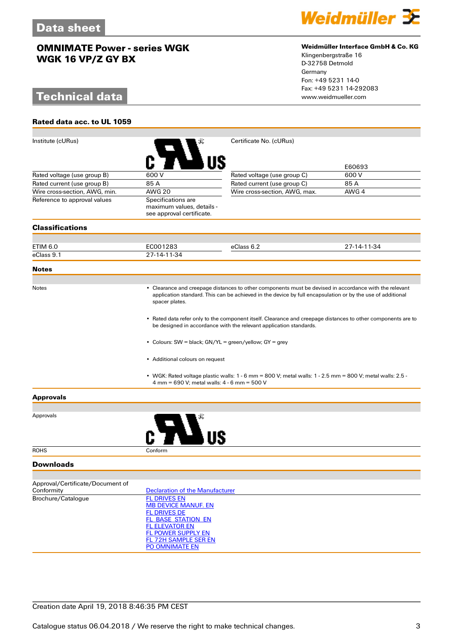# **Technical data**

**Rated data acc. to UL 1059**



#### **Weidmüller Interface GmbH & Co. KG**

Klingenbergstraße 16 D-32758 Detmold Germany Fon: +49 5231 14-0 Fax: +49 5231 14-292083

| Institute (cURus)                              |                                                                                                                                                                                                                                                                                 | Certificate No. (cURus)                                                                                       |             |  |  |
|------------------------------------------------|---------------------------------------------------------------------------------------------------------------------------------------------------------------------------------------------------------------------------------------------------------------------------------|---------------------------------------------------------------------------------------------------------------|-------------|--|--|
|                                                |                                                                                                                                                                                                                                                                                 |                                                                                                               | E60693      |  |  |
| Rated voltage (use group B)                    | 600 V                                                                                                                                                                                                                                                                           | Rated voltage (use group C)                                                                                   | 600 V       |  |  |
| Rated current (use group B)                    | 85 A                                                                                                                                                                                                                                                                            | Rated current (use group C)                                                                                   | 85 A        |  |  |
| Wire cross-section, AWG, min.                  | <b>AWG 20</b>                                                                                                                                                                                                                                                                   | Wire cross-section, AWG, max.                                                                                 | AWG 4       |  |  |
| Reference to approval values                   | Specifications are<br>maximum values, details -<br>see approval certificate.                                                                                                                                                                                                    |                                                                                                               |             |  |  |
| <b>Classifications</b>                         |                                                                                                                                                                                                                                                                                 |                                                                                                               |             |  |  |
|                                                |                                                                                                                                                                                                                                                                                 |                                                                                                               |             |  |  |
| ETIM 6.0                                       | EC001283<br>27-14-11-34                                                                                                                                                                                                                                                         | eClass 6.2                                                                                                    | 27-14-11-34 |  |  |
| eClass 9.1                                     |                                                                                                                                                                                                                                                                                 |                                                                                                               |             |  |  |
| <b>Notes</b>                                   |                                                                                                                                                                                                                                                                                 |                                                                                                               |             |  |  |
| Notes                                          | • Clearance and creepage distances to other components must be devised in accordance with the relevant<br>application standard. This can be achieved in the device by full encapsulation or by the use of additional<br>spacer plates.                                          |                                                                                                               |             |  |  |
|                                                | • Rated data refer only to the component itself. Clearance and creepage distances to other components are to<br>be designed in accordance with the relevant application standards.<br>• Colours: SW = black; GN/YL = green/yellow; GY = grey<br>• Additional colours on request |                                                                                                               |             |  |  |
|                                                |                                                                                                                                                                                                                                                                                 |                                                                                                               |             |  |  |
|                                                |                                                                                                                                                                                                                                                                                 |                                                                                                               |             |  |  |
|                                                | 4 mm = 690 V; metal walls: 4 - 6 mm = 500 V                                                                                                                                                                                                                                     | • WGK: Rated voltage plastic walls: $1 - 6$ mm = 800 V; metal walls: $1 - 2.5$ mm = 800 V; metal walls: 2.5 - |             |  |  |
| <b>Approvals</b>                               |                                                                                                                                                                                                                                                                                 |                                                                                                               |             |  |  |
|                                                |                                                                                                                                                                                                                                                                                 |                                                                                                               |             |  |  |
| Approvals                                      |                                                                                                                                                                                                                                                                                 |                                                                                                               |             |  |  |
| <b>ROHS</b>                                    | Conform                                                                                                                                                                                                                                                                         |                                                                                                               |             |  |  |
| <b>Downloads</b>                               |                                                                                                                                                                                                                                                                                 |                                                                                                               |             |  |  |
|                                                |                                                                                                                                                                                                                                                                                 |                                                                                                               |             |  |  |
| Approval/Certificate/Document of<br>Conformity | <b>Declaration of the Manufacturer</b>                                                                                                                                                                                                                                          |                                                                                                               |             |  |  |
| Brochure/Catalogue                             | <b>FL DRIVES EN</b>                                                                                                                                                                                                                                                             |                                                                                                               |             |  |  |
|                                                | <b>MB DEVICE MANUF. EN</b>                                                                                                                                                                                                                                                      |                                                                                                               |             |  |  |
|                                                | <b>FL DRIVES DE</b>                                                                                                                                                                                                                                                             |                                                                                                               |             |  |  |
|                                                | <b>FL_BASE_STATION_EN</b><br><b>FL ELEVATOR EN</b>                                                                                                                                                                                                                              |                                                                                                               |             |  |  |
|                                                | <b>FL POWER SUPPLY EN</b>                                                                                                                                                                                                                                                       |                                                                                                               |             |  |  |
|                                                | <b>FL 72H SAMPLE SER EN</b>                                                                                                                                                                                                                                                     |                                                                                                               |             |  |  |
|                                                | PO OMNIMATE EN                                                                                                                                                                                                                                                                  |                                                                                                               |             |  |  |

### Creation date April 19, 2018 8:46:35 PM CEST